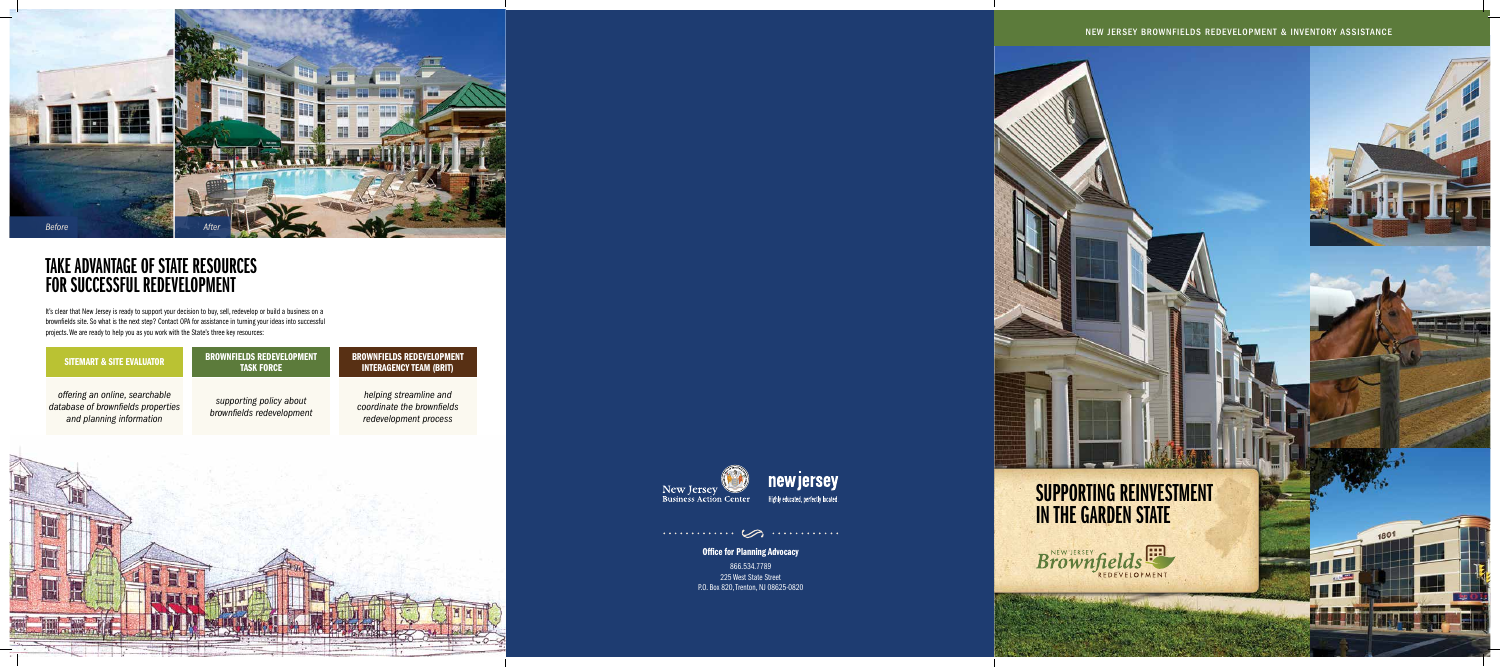



### New Jersey Brownfields Redevelopment & Inventory Assistance





**Office for Planning Advocacy** 



# TAKE ADVANTAGE OF STATE RESOURC FOR SUCCESSFUL REDEVEL

# SiteMart & SITE EVALUATOR

*offering an online, searchable database of brownfields properties and planning information*

### brownfields redevelopment task force

*supporting policy about brownfields redevelopment*

### brownfields redevelopment interagency team (BRIT)

*helping streamline and coordinate the brownfields redevelopment process*



It's clear that New Jersey is ready to support your decision to buy, sell, redevelop or build a business on a brownfields site. So what is the next step? Contact OPA for assistance in turning your ideas into successful projects. We are ready to help you as you work with the State's three key resources:

> 866.534.7789 225 West State Street P.O. Box 820, Trenton, NJ 08625-0820